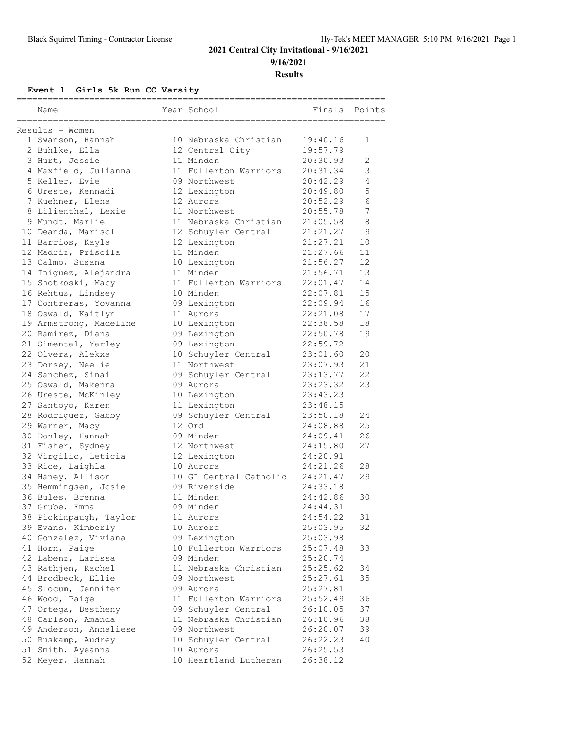#### **2021 Central City Invitational - 9/16/2021 9/16/2021**

**Results**

**Event 1 Girls 5k Run CC Varsity**

| Name                                    | ------------<br>Year School           | =====<br>Finals      | Points   |
|-----------------------------------------|---------------------------------------|----------------------|----------|
| Results - Women                         |                                       |                      |          |
| 1 Swanson, Hannah                       | 10 Nebraska Christian                 | 19:40.16             | 1        |
| 2 Buhlke, Ella                          | 12 Central City                       | 19:57.79             |          |
| 3 Hurt, Jessie                          | 11 Minden                             | 20:30.93             | 2        |
| 4 Maxfield, Julianna                    | 11 Fullerton Warriors                 | 20:31.34             | 3        |
| 5 Keller, Evie                          | 09 Northwest                          | 20:42.29             | 4        |
| 6 Ureste, Kennadi                       | 12 Lexington                          | 20:49.80             | 5        |
| 7 Kuehner, Elena                        | 12 Aurora                             | 20:52.29             | 6        |
| 8 Lilienthal, Lexie                     | 11 Northwest                          | 20:55.78             | 7        |
| 9 Mundt, Marlie                         | 11 Nebraska Christian                 | 21:05.58             | 8        |
| 10 Deanda, Marisol                      | 12 Schuyler Central                   | 21:21.27             | 9        |
| 11 Barrios, Kayla                       | 12 Lexington                          | 21:27.21             | 10       |
| 12 Madriz, Priscila                     | 11 Minden                             | 21:27.66             | 11       |
| 13 Calmo, Susana                        | 10 Lexington                          | 21:56.27             | 12       |
| 14 Iniguez, Alejandra                   | 11 Minden                             | 21:56.71             | 13       |
| 15 Shotkoski, Macy                      | 11 Fullerton Warriors                 | 22:01.47             | 14       |
| 16 Rehtus, Lindsey                      | 10 Minden                             | 22:07.81             | 15       |
| 17 Contreras, Yovanna                   | 09 Lexington                          | 22:09.94             | 16       |
| 18 Oswald, Kaitlyn                      | 11 Aurora                             | 22:21.08             | 17       |
| 19 Armstrong, Madeline                  | 10 Lexington                          | 22:38.58             | 18       |
| 20 Ramirez, Diana                       | 09 Lexington                          | 22:50.78             | 19       |
| 21 Simental, Yarley                     | 09 Lexington                          | 22:59.72             |          |
| 22 Olvera, Alekxa                       | 10 Schuyler Central                   | 23:01.60             | 20       |
| 23 Dorsey, Neelie                       | 11 Northwest                          | 23:07.93             | 21       |
| 24 Sanchez, Sinai                       | 09 Schuyler Central                   | 23:13.77             | 22       |
| 25 Oswald, Makenna                      | 09 Aurora                             | 23:23.32             | 23       |
| 26 Ureste, McKinley                     | 10 Lexington                          | 23:43.23             |          |
| 27 Santoyo, Karen                       | 11 Lexington                          | 23:48.15             |          |
| 28 Rodriguez, Gabby                     | 09 Schuyler Central                   | 23:50.18             | 24       |
| 29 Warner, Macy                         | 12 Ord                                | 24:08.88             | 25       |
| 30 Donley, Hannah                       | 09 Minden                             | 24:09.41             | 26       |
| 31 Fisher, Sydney                       | 12 Northwest                          | 24:15.80             | 27       |
| 32 Virgilio, Leticia                    | 12 Lexington                          | 24:20.91             |          |
| 33 Rice, Laighla                        | 10 Aurora                             | 24:21.26             | 28       |
| 34 Haney, Allison                       | 10 GI Central Catholic                | 24:21.47             | 29       |
| 35 Hemmingsen, Josie                    | 09 Riverside                          | 24:33.18             |          |
| 36 Bules, Brenna                        | 11 Minden                             | 24:42.86             | 30       |
| 37 Grube, Emma                          | 09 Minden                             | 24:44.31             |          |
| 38 Pickinpaugh, Taylor                  | 11 Aurora                             | 24:54.22             | 31       |
| 39 Evans, Kimberly                      | 10 Aurora                             | 25:03.95             | 32       |
| 40 Gonzalez, Viviana                    | 09 Lexington                          | 25:03.98             |          |
| 41 Horn, Paige                          | 10 Fullerton Warriors                 | 25:07.48             | 33       |
| 42 Labenz, Larissa                      | 09 Minden                             | 25:20.74             |          |
| 43 Rathjen, Rachel                      | 11 Nebraska Christian                 | 25:25.62             | 34       |
| 44 Brodbeck, Ellie                      | 09 Northwest                          | 25:27.61             | 35       |
| 45 Slocum, Jennifer                     | 09 Aurora<br>11 Fullerton Warriors    | 25:27.81             |          |
| 46 Wood, Paige                          |                                       | 25:52.49             | 36       |
| 47 Ortega, Destheny                     | 09 Schuyler Central                   | 26:10.05             | 37       |
| 48 Carlson, Amanda                      | 11 Nebraska Christian<br>09 Northwest | 26:10.96             | 38       |
| 49 Anderson, Annaliese                  |                                       | 26:20.07             | 39<br>40 |
| 50 Ruskamp, Audrey<br>51 Smith, Ayeanna | 10 Schuyler Central<br>10 Aurora      | 26:22.23             |          |
| 52 Meyer, Hannah                        | 10 Heartland Lutheran                 | 26:25.53<br>26:38.12 |          |
|                                         |                                       |                      |          |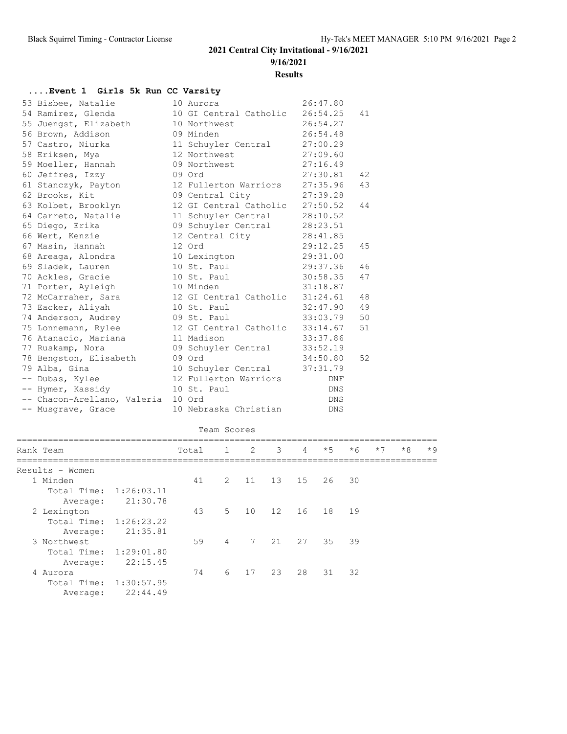**9/16/2021**

**Results**

### **....Event 1 Girls 5k Run CC Varsity**

| 53 Bisbee, Natalie          | 10 Aurora                       | 26:47.80   |    |
|-----------------------------|---------------------------------|------------|----|
| 54 Ramirez, Glenda          | 10 GI Central Catholic 26:54.25 |            | 41 |
| 55 Juengst, Elizabeth       | 10 Northwest                    | 26:54.27   |    |
| 56 Brown, Addison           | 09 Minden                       | 26:54.48   |    |
| 57 Castro, Niurka           | 11 Schuyler Central             | 27:00.29   |    |
| 58 Eriksen, Mya             | 12 Northwest                    | 27:09.60   |    |
| 59 Moeller, Hannah          | 09 Northwest                    | 27:16.49   |    |
| 60 Jeffres, Izzy            | 09 Ord                          | 27:30.81   | 42 |
| 61 Stanczyk, Payton         | 12 Fullerton Warriors           | 27:35.96   | 43 |
| 62 Brooks, Kit              | 09 Central City                 | 27:39.28   |    |
| 63 Kolbet, Brooklyn         | 12 GI Central Catholic 27:50.52 |            | 44 |
| 64 Carreto, Natalie         | 11 Schuyler Central             | 28:10.52   |    |
| 65 Diego, Erika             | 09 Schuyler Central             | 28:23.51   |    |
| 66 Wert, Kenzie             | 12 Central City                 | 28:41.85   |    |
| 67 Masin, Hannah            | 12 Ord                          | 29:12.25   | 45 |
| 68 Areaga, Alondra          | 10 Lexington                    | 29:31.00   |    |
| 69 Sladek, Lauren           | 10 St. Paul                     | 29:37.36   | 46 |
| 70 Ackles, Gracie           | 10 St. Paul                     | 30:58.35   | 47 |
| 71 Porter, Ayleigh          | 10 Minden                       | 31:18.87   |    |
| 72 McCarraher, Sara         | 12 GI Central Catholic          | 31:24.61   | 48 |
| 73 Eacker, Aliyah           | 10 St. Paul                     | 32:47.90   | 49 |
| 74 Anderson, Audrey         | 09 St. Paul                     | 33:03.79   | 50 |
| 75 Lonnemann, Rylee         | 12 GI Central Catholic 33:14.67 |            | 51 |
| 76 Atanacio, Mariana        | 11 Madison                      | 33:37.86   |    |
| 77 Ruskamp, Nora            | 09 Schuyler Central             | 33:52.19   |    |
| 78 Bengston, Elisabeth      | 09 Ord                          | 34:50.80   | 52 |
| 79 Alba, Gina               | 10 Schuyler Central             | 37:31.79   |    |
| -- Dubas, Kylee             | 12 Fullerton Warriors           | DNF        |    |
| -- Hymer, Kassidy           | 10 St. Paul                     | <b>DNS</b> |    |
| -- Chacon-Arellano, Valeria | 10 Ord                          | DNS        |    |
| -- Musgrave, Grace          | 10 Nebraska Christian           | <b>DNS</b> |    |

#### Team Scores

| Rank Team              |            | Total | 1              | $\overline{2}$ | 3    | $\overline{4}$ | $*5$ | $*6$ | $*7$ | $*8$ | $*9$ |
|------------------------|------------|-------|----------------|----------------|------|----------------|------|------|------|------|------|
| Results - Women        |            |       |                |                |      |                |      |      |      |      |      |
| 1 Minden               |            | 41    | 2              | 11             | 13   | 15             | 26   | 30   |      |      |      |
| Total Time: 1:26:03.11 |            |       |                |                |      |                |      |      |      |      |      |
| Average:               | 21:30.78   |       |                |                |      |                |      |      |      |      |      |
| 2 Lexington            |            | 43    | $5^{\circ}$    | 10             | 12   | 16             | 18   | 19   |      |      |      |
| Total Time:            | 1:26:23.22 |       |                |                |      |                |      |      |      |      |      |
| Average:               | 21:35.81   |       |                |                |      |                |      |      |      |      |      |
| 3 Northwest            |            | 59    | $\overline{4}$ |                | 7 21 | 27             | 35   | 39   |      |      |      |
| Total Time:            | 1:29:01.80 |       |                |                |      |                |      |      |      |      |      |
| Average:               | 22:15.45   |       |                |                |      |                |      |      |      |      |      |
| 4 Aurora               |            | 74    | 6              | 17             | 23   | 28             | 31   | 32   |      |      |      |
| Total Time:            | 1:30:57.95 |       |                |                |      |                |      |      |      |      |      |
| Average:               | 22:44.49   |       |                |                |      |                |      |      |      |      |      |
|                        |            |       |                |                |      |                |      |      |      |      |      |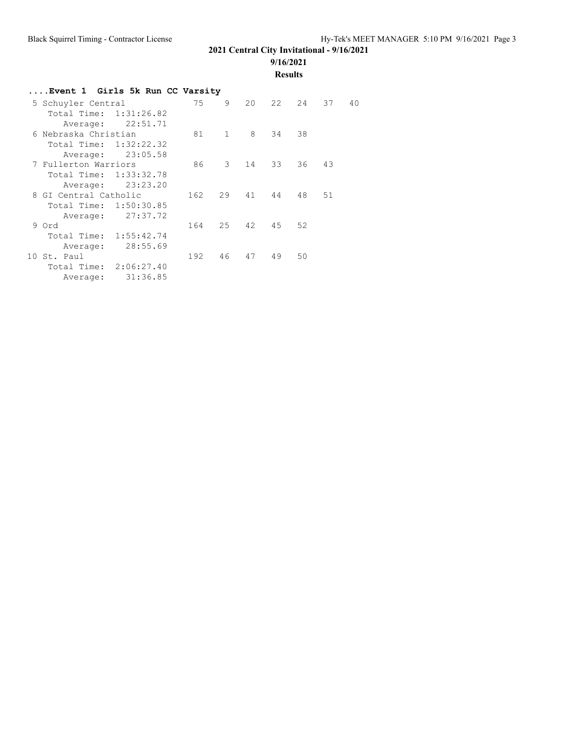**9/16/2021**

**Results**

| Event 1 Girls 5k Run CC Varsity |     |             |    |    |       |    |    |  |  |  |
|---------------------------------|-----|-------------|----|----|-------|----|----|--|--|--|
| 5 Schuyler Central              | 75  | 9           | 20 |    | 22 24 | 37 | 40 |  |  |  |
| Total Time: 1:31:26.82          |     |             |    |    |       |    |    |  |  |  |
| Average: 22:51.71               |     |             |    |    |       |    |    |  |  |  |
| 6 Nebraska Christian            | 81  | $\sim$ 1    | 8  | 34 | 38    |    |    |  |  |  |
| Total Time: 1:32:22.32          |     |             |    |    |       |    |    |  |  |  |
| 23:05.58<br>Average:            |     |             |    |    |       |    |    |  |  |  |
| 7 Fullerton Warriors            | 86  | $3^{\circ}$ | 14 | 33 | 36    | 43 |    |  |  |  |
| 1:33:32.78<br>Total Time:       |     |             |    |    |       |    |    |  |  |  |
| 23:23.20<br>Average:            |     |             |    |    |       |    |    |  |  |  |
| 8 GI Central Catholic           | 162 | 29          | 41 | 44 | 48    | 51 |    |  |  |  |
| Total Time: 1:50:30.85          |     |             |    |    |       |    |    |  |  |  |
| 27:37.72<br>Average:            |     |             |    |    |       |    |    |  |  |  |
| 9 Ord                           | 164 | $25 -$      | 42 | 45 | 52    |    |    |  |  |  |
| Total Time: 1:55:42.74          |     |             |    |    |       |    |    |  |  |  |
| 28:55.69<br>Average:            |     |             |    |    |       |    |    |  |  |  |
| 10 St. Paul                     | 192 | 46          | 47 | 49 | 50    |    |    |  |  |  |
| Total Time: 2:06:27.40          |     |             |    |    |       |    |    |  |  |  |
| 31:36.85<br>Average:            |     |             |    |    |       |    |    |  |  |  |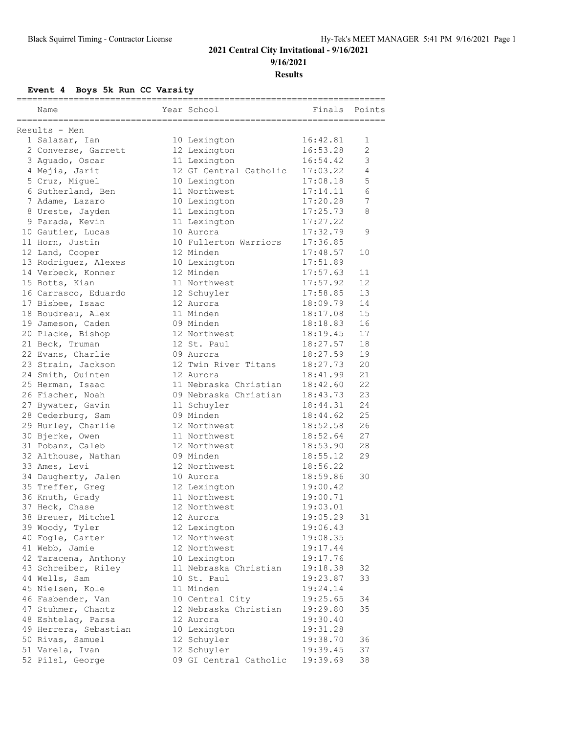#### **2021 Central City Invitational - 9/16/2021 9/16/2021**

**Results**

**Event 4 Boys 5k Run CC Varsity**

| Name                                                 | Year School              | ----------------------<br>Finals | Points |
|------------------------------------------------------|--------------------------|----------------------------------|--------|
| ===================================<br>Results - Men | ________________________ |                                  |        |
| 1 Salazar, Ian                                       | 10 Lexington             | 16:42.81                         | 1      |
| 2 Converse, Garrett                                  | 12 Lexington             | 16:53.28                         | 2      |
| 3 Aguado, Oscar                                      | 11 Lexington             | 16:54.42                         | 3      |
| 4 Mejia, Jarit                                       | 12 GI Central Catholic   | 17:03.22                         | 4      |
| 5 Cruz, Miguel                                       | 10 Lexington             | 17:08.18                         | 5      |
| 6 Sutherland, Ben                                    | 11 Northwest             | 17:14.11                         | 6      |
| 7 Adame, Lazaro                                      | 10 Lexington             | 17:20.28                         | 7      |
| 8 Ureste, Jayden                                     | 11 Lexington             | 17:25.73                         | 8      |
| 9 Parada, Kevin                                      | 11 Lexington             | 17:27.22                         |        |
| 10 Gautier, Lucas                                    | 10 Aurora                | 17:32.79                         | 9      |
| 11 Horn, Justin                                      | 10 Fullerton Warriors    | 17:36.85                         |        |
| 12 Land, Cooper                                      | 12 Minden                | 17:48.57                         | 10     |
| 13 Rodriguez, Alexes                                 | 10 Lexington             | 17:51.89                         |        |
| 14 Verbeck, Konner                                   | 12 Minden                | 17:57.63                         | 11     |
| 15 Botts, Kian                                       | 11 Northwest             | 17:57.92                         | 12     |
| 16 Carrasco, Eduardo                                 | 12 Schuyler              | 17:58.85                         | 13     |
| 17 Bisbee, Isaac                                     | 12 Aurora                | 18:09.79                         | 14     |
| 18 Boudreau, Alex                                    | 11 Minden                | 18:17.08                         | 15     |
| 19 Jameson, Caden                                    | 09 Minden                | 18:18.83                         | 16     |
| 20 Placke, Bishop                                    | 12 Northwest             | 18:19.45                         | 17     |
| 21 Beck, Truman                                      | 12 St. Paul              | 18:27.57                         | 18     |
| 22 Evans, Charlie                                    | 09 Aurora                | 18:27.59                         | 19     |
| 23 Strain, Jackson                                   | 12 Twin River Titans     | 18:27.73                         | 20     |
| 24 Smith, Quinten                                    | 12 Aurora                | 18:41.99                         | 21     |
| 25 Herman, Isaac                                     | 11 Nebraska Christian    | 18:42.60                         | 22     |
| 26 Fischer, Noah                                     | 09 Nebraska Christian    | 18:43.73                         | 23     |
|                                                      |                          |                                  | 24     |
| 27 Bywater, Gavin                                    | 11 Schuyler<br>09 Minden | 18:44.31                         | 25     |
| 28 Cederburg, Sam                                    | 12 Northwest             | 18:44.62                         | 26     |
| 29 Hurley, Charlie                                   |                          | 18:52.58                         |        |
| 30 Bjerke, Owen                                      | 11 Northwest             | 18:52.64                         | 27     |
| 31 Pobanz, Caleb                                     | 12 Northwest             | 18:53.90                         | 28     |
| 32 Althouse, Nathan                                  | 09 Minden                | 18:55.12                         | 29     |
| 33 Ames, Levi                                        | 12 Northwest             | 18:56.22                         |        |
| 34 Daugherty, Jalen                                  | 10 Aurora                | 18:59.86                         | 30     |
| 35 Treffer, Greg                                     | 12 Lexington             | 19:00.42                         |        |
| 36 Knuth, Grady                                      | 11 Northwest             | 19:00.71                         |        |
| 37 Heck, Chase                                       | 12 Northwest             | 19:03.01                         |        |
| 38 Breuer, Mitchel                                   | 12 Aurora                | 19:05.29                         | 31     |
| 39 Woody, Tyler                                      | 12 Lexington             | 19:06.43                         |        |
| 40 Fogle, Carter                                     | 12 Northwest             | 19:08.35                         |        |
| 41 Webb, Jamie                                       | 12 Northwest             | 19:17.44                         |        |
| 42 Taracena, Anthony                                 | 10 Lexington             | 19:17.76                         |        |
| 43 Schreiber, Riley                                  | 11 Nebraska Christian    | 19:18.38                         | 32     |
| 44 Wells, Sam                                        | 10 St. Paul              | 19:23.87                         | 33     |
| 45 Nielsen, Kole                                     | 11 Minden                | 19:24.14                         |        |
| 46 Fasbender, Van                                    | 10 Central City          | 19:25.65                         | 34     |
| 47 Stuhmer, Chantz                                   | 12 Nebraska Christian    | 19:29.80                         | 35     |
| 48 Eshtelaq, Parsa                                   | 12 Aurora                | 19:30.40                         |        |
| 49 Herrera, Sebastian                                | 10 Lexington             | 19:31.28                         |        |
| 50 Rivas, Samuel                                     | 12 Schuyler              | 19:38.70                         | 36     |
| 51 Varela, Ivan                                      | 12 Schuyler              | 19:39.45                         | 37     |
| 52 Pilsl, George                                     | 09 GI Central Catholic   | 19:39.69                         | 38     |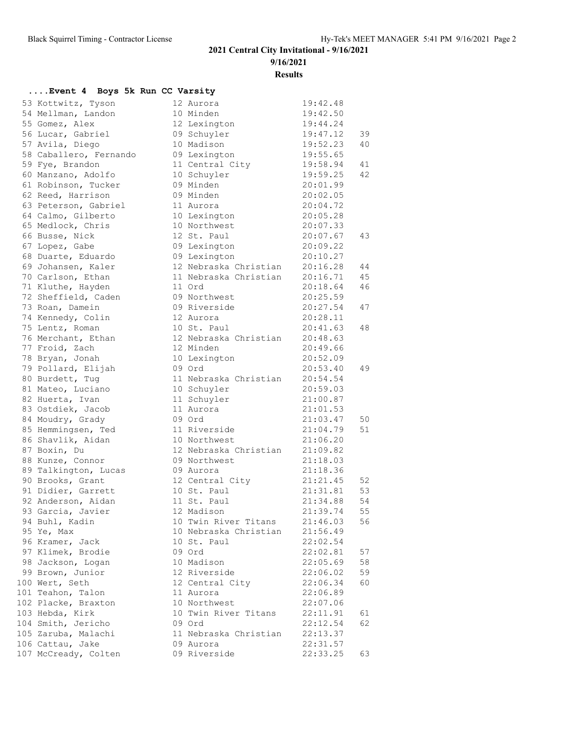**9/16/2021**

**Results**

### **....Event 4 Boys 5k Run CC Varsity**

| 53 Kottwitz, Tyson                   | 12 Aurora                | 19:42.48 |    |
|--------------------------------------|--------------------------|----------|----|
| 54 Mellman, Landon                   | 10 Minden                | 19:42.50 |    |
| 55 Gomez, Alex                       | 12 Lexington             | 19:44.24 |    |
| 56 Lucar, Gabriel                    | 09 Schuyler              | 19:47.12 | 39 |
| 57 Avila, Diego                      | 10 Madison               | 19:52.23 | 40 |
| 58 Caballero, Fernando               | 09 Lexington             | 19:55.65 |    |
| 59 Fye, Brandon                      | 11 Central City          | 19:58.94 | 41 |
| 60 Manzano, Adolfo                   | 10 Schuyler              | 19:59.25 | 42 |
| 61 Robinson, Tucker                  | 09 Minden                | 20:01.99 |    |
| 62 Reed, Harrison                    | 09 Minden                | 20:02.05 |    |
| 63 Peterson, Gabriel                 | 11 Aurora                | 20:04.72 |    |
| 64 Calmo, Gilberto                   | 10 Lexington             | 20:05.28 |    |
| 65 Medlock, Chris                    | 10 Northwest             | 20:07.33 |    |
| 66 Busse, Nick                       | 12 St. Paul              | 20:07.67 | 43 |
| 67 Lopez, Gabe                       | 09 Lexington             | 20:09.22 |    |
| 68 Duarte, Eduardo                   | 09 Lexington             | 20:10.27 |    |
| 69 Johansen, Kaler                   | 12 Nebraska Christian    | 20:16.28 | 44 |
| 70 Carlson, Ethan                    | 11 Nebraska Christian    | 20:16.71 | 45 |
| 71 Kluthe, Hayden                    | 11 Ord                   | 20:18.64 | 46 |
| 72 Sheffield, Caden                  | 09 Northwest             | 20:25.59 |    |
| 73 Roan, Damein                      | 09 Riverside             | 20:27.54 | 47 |
| 74 Kennedy, Colin                    | 12 Aurora                | 20:28.11 |    |
| 75 Lentz, Roman                      | 10 St. Paul              | 20:41.63 | 48 |
| 76 Merchant, Ethan                   | 12 Nebraska Christian    | 20:48.63 |    |
| 77 Froid, Zach                       | 12 Minden                | 20:49.66 |    |
| 78 Bryan, Jonah                      | 10 Lexington             | 20:52.09 |    |
| 79 Pollard, Elijah                   | 09 Ord                   | 20:53.40 | 49 |
| 80 Burdett, Tuq                      | 11 Nebraska Christian    | 20:54.54 |    |
|                                      |                          | 20:59.03 |    |
| 81 Mateo, Luciano                    | 10 Schuyler              | 21:00.87 |    |
| 82 Huerta, Ivan<br>83 Ostdiek, Jacob | 11 Schuyler<br>11 Aurora |          |    |
|                                      |                          | 21:01.53 |    |
| 84 Moudry, Grady                     | 09 Ord                   | 21:03.47 | 50 |
| 85 Hemmingsen, Ted                   | 11 Riverside             | 21:04.79 | 51 |
| 86 Shavlik, Aidan                    | 10 Northwest             | 21:06.20 |    |
| 87 Boxin, Du                         | 12 Nebraska Christian    | 21:09.82 |    |
| 88 Kunze, Connor                     | 09 Northwest             | 21:18.03 |    |
| 89 Talkington, Lucas                 | 09 Aurora                | 21:18.36 |    |
| 90 Brooks, Grant                     | 12 Central City          | 21:21.45 | 52 |
| 91 Didier, Garrett                   | 10 St. Paul              | 21:31.81 | 53 |
| 92 Anderson, Aidan                   | 11 St. Paul              | 21:34.88 | 54 |
| 93 Garcia, Javier                    | 12 Madison               | 21:39.74 | 55 |
| 94 Buhl, Kadin                       | 10 Twin River Titans     | 21:46.03 | 56 |
| 95 Ye, Max                           | 10 Nebraska Christian    | 21:56.49 |    |
| 96 Kramer, Jack                      | 10 St. Paul              | 22:02.54 |    |
| 97 Klimek, Brodie                    | 09 Ord                   | 22:02.81 | 57 |
| 98 Jackson, Logan                    | 10 Madison               | 22:05.69 | 58 |
| 99 Brown, Junior                     | 12 Riverside             | 22:06.02 | 59 |
| 100 Wert, Seth                       | 12 Central City          | 22:06.34 | 60 |
| 101 Teahon, Talon                    | 11 Aurora                | 22:06.89 |    |
| 102 Placke, Braxton                  | 10 Northwest             | 22:07.06 |    |
| 103 Hebda, Kirk                      | 10 Twin River Titans     | 22:11.91 | 61 |
| 104 Smith, Jericho                   | 09 Ord                   | 22:12.54 | 62 |
| 105 Zaruba, Malachi                  | 11 Nebraska Christian    | 22:13.37 |    |
| 106 Cattau, Jake                     | 09 Aurora                | 22:31.57 |    |
| 107 McCready, Colten                 | 09 Riverside             | 22:33.25 | 63 |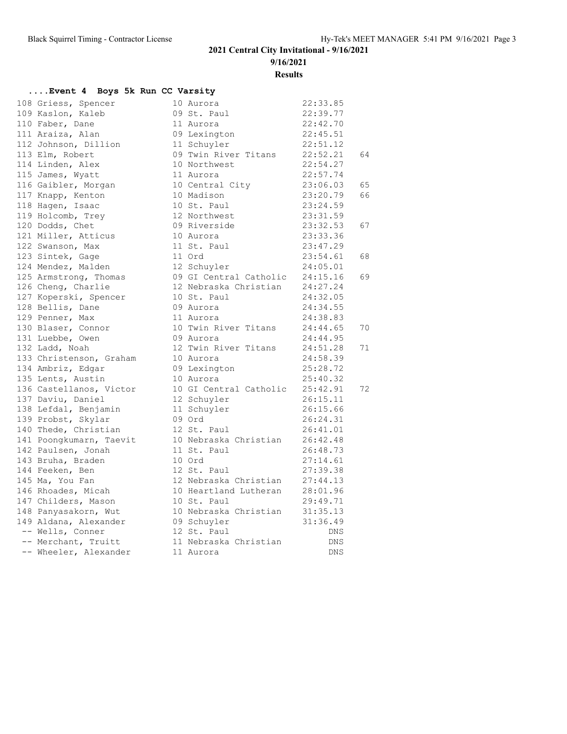**9/16/2021**

**Results**

### **....Event 4 Boys 5k Run CC Varsity**

| 108 Griess, Spencer                                  | 10 Aurora<br>09 St. Paul                                          | 22:33.85 |    |
|------------------------------------------------------|-------------------------------------------------------------------|----------|----|
| 109 Kaslon, Kaleb                                    |                                                                   | 22:39.77 |    |
| 110 Faber, Dane                                      | 11 Aurora                                                         | 22:42.70 |    |
| 111 Araiza, Alan                                     | 09 Lexington                                                      | 22:45.51 |    |
| 112 Johnson, Dillion                                 | 11 Schuyler                                                       | 22:51.12 |    |
| 113 Elm, Robert                                      | 09 Twin River Titans 22:52.21                                     |          | 64 |
| 114 Linden, Alex                                     | 10 Northwest                                                      | 22:54.27 |    |
| 115 James, Wyatt                                     | 11 Aurora                                                         | 22:57.74 |    |
| 116 Gaibler, Morgan                                  | 10 Central City                                                   | 23:06.03 | 65 |
| 117 Knapp, Kenton                                    | 10 Madison                                                        | 23:20.79 | 66 |
| 118 Hagen, Isaac                                     | 10 Madison<br>10 St. Paul                                         | 23:24.59 |    |
| 119 Holcomb, Trey                                    | 12 Northwest                                                      | 23:31.59 |    |
| 120 Dodds, Chet                                      | 09 Riverside                                                      | 23:32.53 | 67 |
| 121 Miller, Atticus                                  | 10 Aurora                                                         | 23:33.36 |    |
| 122 Swanson, Max                                     | 11 St. Paul                                                       | 23:47.29 |    |
| 123 Sintek, Gage                                     | 11 Ord                                                            | 23:54.61 | 68 |
| 124 Mendez, Malden                                   | 12 Schuyler                                                       | 24:05.01 |    |
| 125 Armstrong, Thomas                                |                                                                   |          | 69 |
| 126 Cheng, Charlie                                   | 09 GI Central Catholic 24:15.16<br>12 Nebraska Christian 24:27.24 |          |    |
| 127 Koperski, Spencer                                | 10 St. Paul                                                       | 24:32.05 |    |
| 128 Bellis, Dane                                     | 09 Aurora                                                         | 24:34.55 |    |
| 129 Penner, Max                                      | 11 Aurora                                                         | 24:38.83 |    |
| 130 Blaser, Connor                                   | 10 Twin River Titans 24:44.65                                     |          | 70 |
| 131 Luebbe, Owen                                     | 09 Aurora                                                         | 24:44.95 |    |
| 132 Ladd, Noah                                       | 12 Twin River Titans                                              | 24:51.28 | 71 |
| 133 Christenson, Graham                              | 10 Aurora                                                         | 24:58.39 |    |
| 134 Ambriz, Edgar                                    | 10 Aurelie<br>09 Lexington                                        | 25:28.72 |    |
| 135 Lents, Austin                                    | 10 Aurora                                                         | 25:40.32 |    |
| 136 Castellanos, Victor                              | 10 GI Central Catholic 25:42.91                                   |          | 72 |
| 137 Daviu, Daniel                                    | 12 Schuyler                                                       | 26:15.11 |    |
| 138 Lefdal, Benjamin                                 | 11 Schuyler                                                       | 26:15.66 |    |
| 139 Probst, Skylar                                   | 09 Ord                                                            | 26:24.31 |    |
| 140 Thede, Christian                                 | 12 St. Paul                                                       | 26:41.01 |    |
| 141 Poongkumarn, Taevit                              | 10 Nebraska Christian 26:42.48                                    |          |    |
| 142 Paulsen, Jonah                                   | 11 St. Paul                                                       | 26:48.73 |    |
| 143 Bruha, Braden                                    | 10 Ord                                                            | 27:14.61 |    |
| 144 Feeken, Ben                                      | 12 St. Paul                                                       | 27:39.38 |    |
| 145 Ma, You Fan                                      | 12 Nebraska Christian 27:44.13                                    |          |    |
| 145 Ma, Iou I.<br>146 Rhoades, Micah<br>Alason Mason | 10 Heartland Lutheran 28:01.96                                    |          |    |
|                                                      | 10 St. Paul                                                       | 29:49.71 |    |
| 148 Panyasakorn, Wut                                 | 10 Nebraska Christian 31:35.13                                    |          |    |
| 149 Aldana, Alexander                                | 09 Schuyler<br>12 St Paul                                         | 31:36.49 |    |
| -- Wells, Conner                                     | 12 St. Paul                                                       | DNS      |    |
| -- Merchant, Truitt                                  | 11 Nebraska Christian                                             | DNS      |    |
| -- Wheeler, Alexander                                | 11 Aurora                                                         | DNS      |    |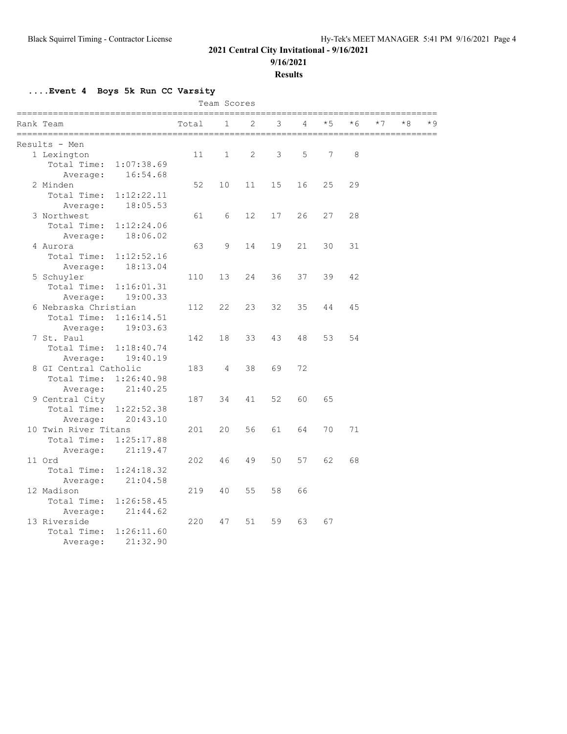**9/16/2021**

**Results**

**....Event 4 Boys 5k Run CC Varsity**

|                        |            |       | Team Scores  |    |                 |    |      |      |      |    |     |
|------------------------|------------|-------|--------------|----|-----------------|----|------|------|------|----|-----|
| Rank Team              |            | Total | 1            | 2  | 3               | 4  | $*5$ | $*6$ | $*7$ | *8 | * 9 |
| Results - Men          |            |       |              |    |                 |    |      |      |      |    |     |
| 1 Lexington            |            | 11    | $\mathbf{1}$ | 2  | 3               | 5  | 7    | 8    |      |    |     |
| Total Time: 1:07:38.69 |            |       |              |    |                 |    |      |      |      |    |     |
| Average:               | 16:54.68   |       |              |    |                 |    |      |      |      |    |     |
| 2 Minden               |            | 52    | 10           | 11 | 15 <sub>1</sub> | 16 | 25   | 29   |      |    |     |
| Total Time:            | 1:12:22.11 |       |              |    |                 |    |      |      |      |    |     |
| Average:               | 18:05.53   |       |              |    |                 |    |      |      |      |    |     |
| 3 Northwest            |            | 61    | 6            | 12 | 17              | 26 | 27   | 28   |      |    |     |
| Total Time:            | 1:12:24.06 |       |              |    |                 |    |      |      |      |    |     |
| Average:               | 18:06.02   |       |              |    |                 |    |      |      |      |    |     |
| 4 Aurora               |            | 63    | 9            | 14 | 19              | 21 | 30   | 31   |      |    |     |
| Total Time:            | 1:12:52.16 |       |              |    |                 |    |      |      |      |    |     |
| Average:               | 18:13.04   |       |              |    |                 |    |      |      |      |    |     |
| 5 Schuyler             |            | 110   | 13           | 24 | 36              | 37 | 39   | 42   |      |    |     |
| Total Time:            | 1:16:01.31 |       |              |    |                 |    |      |      |      |    |     |
| Average:               | 19:00.33   |       |              |    |                 |    |      |      |      |    |     |
| 6 Nebraska Christian   |            | 112   | 22           | 23 | 32              | 35 | 44   | 45   |      |    |     |
| Total Time: 1:16:14.51 |            |       |              |    |                 |    |      |      |      |    |     |
| Average:               | 19:03.63   |       |              |    |                 |    |      |      |      |    |     |
| 7 St. Paul             |            | 142   | 18           | 33 | 43              | 48 | 53   | 54   |      |    |     |
| Total Time:            | 1:18:40.74 |       |              |    |                 |    |      |      |      |    |     |
| Average:               | 19:40.19   |       |              |    |                 |    |      |      |      |    |     |
| 8 GI Central Catholic  |            | 183   | 4            | 38 | 69              | 72 |      |      |      |    |     |
| Total Time: 1:26:40.98 |            |       |              |    |                 |    |      |      |      |    |     |
| Average:               | 21:40.25   |       |              |    |                 |    |      |      |      |    |     |
| 9 Central City         |            | 187   | 34           | 41 | 52              | 60 | 65   |      |      |    |     |
| Total Time:            | 1:22:52.38 |       |              |    |                 |    |      |      |      |    |     |
| Average:               | 20:43.10   |       |              |    |                 |    |      |      |      |    |     |
| 10 Twin River Titans   |            | 201   | 20           | 56 | 61              | 64 | 70   | 71   |      |    |     |
| Total Time:            | 1:25:17.88 |       |              |    |                 |    |      |      |      |    |     |
| Average:               | 21:19.47   |       |              |    |                 |    |      |      |      |    |     |
| 11 Ord                 |            | 202   | 46           | 49 | 50              | 57 | 62   | 68   |      |    |     |
| Total Time:            | 1:24:18.32 |       |              |    |                 |    |      |      |      |    |     |
| Average:               | 21:04.58   |       |              |    |                 |    |      |      |      |    |     |
| 12 Madison             |            | 219   | 40           | 55 | 58              | 66 |      |      |      |    |     |
| Total Time:            | 1:26:58.45 |       |              |    |                 |    |      |      |      |    |     |
| Average:               | 21:44.62   |       |              |    |                 |    |      |      |      |    |     |
| 13 Riverside           |            | 220   | 47           | 51 | 59              | 63 | 67   |      |      |    |     |
| Total Time:            | 1:26:11.60 |       |              |    |                 |    |      |      |      |    |     |
| Average:               | 21:32.90   |       |              |    |                 |    |      |      |      |    |     |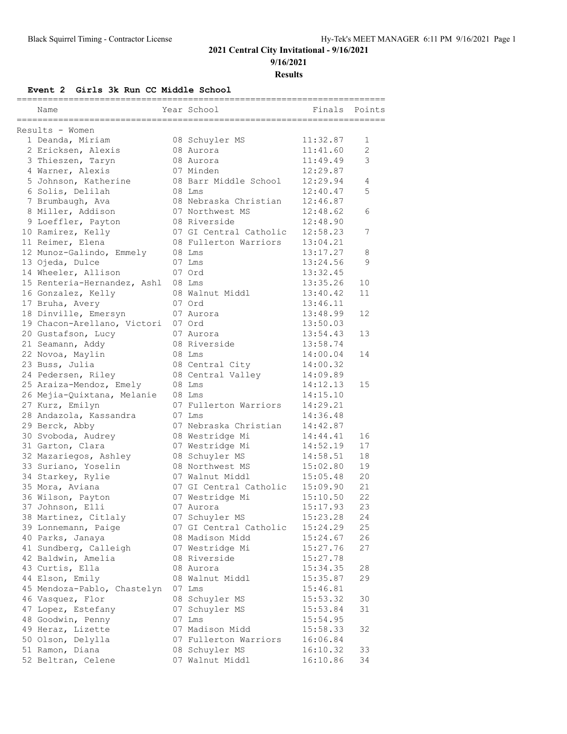**9/16/2021**

**Results**

**Event 2 Girls 3k Run CC Middle School**

| Name                                  | Year School            | Finals   | Points |
|---------------------------------------|------------------------|----------|--------|
| Results - Women                       |                        |          |        |
| 1 Deanda, Miriam                      | 08 Schuyler MS         | 11:32.87 | 1      |
| 2 Ericksen, Alexis                    | 08 Aurora              | 11:41.60 | 2      |
| 3 Thieszen, Taryn                     | 08 Aurora              | 11:49.49 | 3      |
| 4 Warner, Alexis                      | 07 Minden              | 12:29.87 |        |
| 5 Johnson, Katherine                  | 08 Barr Middle School  | 12:29.94 | 4      |
| 6 Solis, Delilah                      | 08 Lms                 | 12:40.47 | 5      |
| 7 Brumbaugh, Ava                      | 08 Nebraska Christian  | 12:46.87 |        |
| 8 Miller, Addison                     | 07 Northwest MS        | 12:48.62 | 6      |
| 9 Loeffler, Payton                    | 08 Riverside           | 12:48.90 |        |
| 10 Ramirez, Kelly                     | 07 GI Central Catholic | 12:58.23 | 7      |
| 11 Reimer, Elena                      | 08 Fullerton Warriors  | 13:04.21 |        |
| 12 Munoz-Galindo, Emmely              | 08 Lms                 | 13:17.27 | 8      |
| 13 Ojeda, Dulce                       | 07 Lms                 | 13:24.56 | 9      |
| 14 Wheeler, Allison                   | 07 Ord                 | 13:32.45 |        |
| 15 Renteria-Hernandez, Ashl           | 08 Lms                 | 13:35.26 | 10     |
|                                       | 08 Walnut Middl        | 13:40.42 | 11     |
| 16 Gonzalez, Kelly<br>17 Bruha, Avery | 07 Ord                 | 13:46.11 |        |
|                                       |                        | 13:48.99 | 12     |
| 18 Dinville, Emersyn                  | 07 Aurora              |          |        |
| 19 Chacon-Arellano, Victori           | 07 Ord<br>07 Aurora    | 13:50.03 |        |
| 20 Gustafson, Lucy                    |                        | 13:54.43 | 13     |
| 21 Seamann, Addy                      | 08 Riverside           | 13:58.74 |        |
| 22 Novoa, Maylin                      | 08 Lms                 | 14:00.04 | 14     |
| 23 Buss, Julia                        | 08 Central City        | 14:00.32 |        |
| 24 Pedersen, Riley                    | 08 Central Valley      | 14:09.89 |        |
| 25 Araiza-Mendoz, Emely               | 08 Lms                 | 14:12.13 | 15     |
| 26 Mejia-Quixtana, Melanie            | 08 Lms                 | 14:15.10 |        |
| 27 Kurz, Emilyn                       | 07 Fullerton Warriors  | 14:29.21 |        |
| 28 Andazola, Kassandra                | 07 Lms                 | 14:36.48 |        |
| 29 Berck, Abby                        | 07 Nebraska Christian  | 14:42.87 |        |
| 30 Svoboda, Audrey                    | 08 Westridge Mi        | 14:44.41 | 16     |
| 31 Garton, Clara                      | 07 Westridge Mi        | 14:52.19 | 17     |
| 32 Mazariegos, Ashley                 | 08 Schuyler MS         | 14:58.51 | 18     |
| 33 Suriano, Yoselin                   | 08 Northwest MS        | 15:02.80 | 19     |
| 34 Starkey, Rylie                     | 07 Walnut Middl        | 15:05.48 | 20     |
| 35 Mora, Aviana                       | 07 GI Central Catholic | 15:09.90 | 21     |
| 36 Wilson, Payton                     | 07 Westridge Mi        | 15:10.50 | 22     |
| 37 Johnson, Elli                      | 07 Aurora              | 15:17.93 | 23     |
| 38 Martinez, Citlaly                  | 07 Schuyler MS         | 15:23.28 | 24     |
| 39 Lonnemann, Paige                   | 07 GI Central Catholic | 15:24.29 | 25     |
| 40 Parks, Janaya                      | 08 Madison Midd        | 15:24.67 | 26     |
| 41 Sundberg, Calleigh                 | 07 Westridge Mi        | 15:27.76 | 27     |
| 42 Baldwin, Amelia                    | 08 Riverside           | 15:27.78 |        |
| 43 Curtis, Ella                       | 08 Aurora              | 15:34.35 | 28     |
| 44 Elson, Emily                       | 08 Walnut Middl        | 15:35.87 | 29     |
| 45 Mendoza-Pablo, Chastelyn           | 07 Lms                 | 15:46.81 |        |
| 46 Vasquez, Flor                      | 08 Schuyler MS         | 15:53.32 | 30     |
| 47 Lopez, Estefany                    | 07 Schuyler MS         | 15:53.84 | 31     |
| 48 Goodwin, Penny                     | 07 Lms                 | 15:54.95 |        |
| 49 Heraz, Lizette                     | 07 Madison Midd        | 15:58.33 | 32     |
| 50 Olson, Delylla                     | 07 Fullerton Warriors  | 16:06.84 |        |
| 51 Ramon, Diana                       | 08 Schuyler MS         | 16:10.32 | 33     |
| 52 Beltran, Celene                    | 07 Walnut Middl        | 16:10.86 | 34     |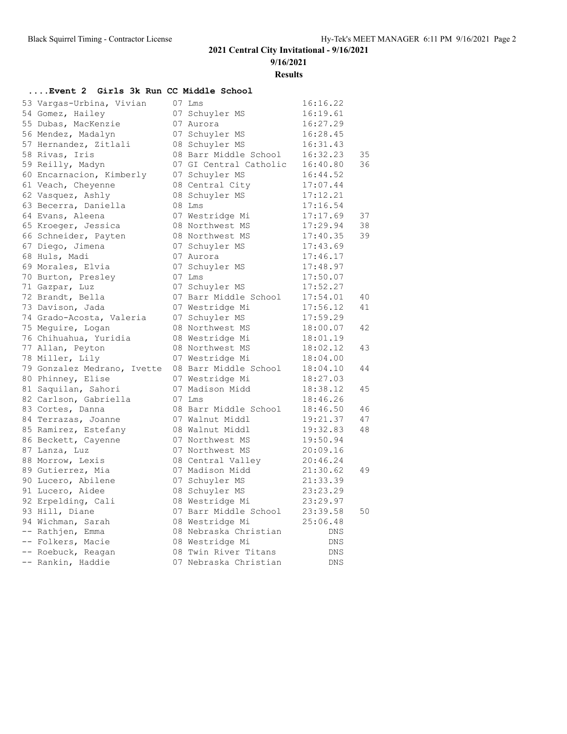**9/16/2021**

**Results**

## **....Event 2 Girls 3k Run CC Middle School**

| 53 Vargas-Urbina, Vivian    | 07 Lms                 | 16:16.22   |    |
|-----------------------------|------------------------|------------|----|
| 54 Gomez, Hailey            | 07 Schuyler MS         | 16:19.61   |    |
| 55 Dubas, MacKenzie         | 07 Aurora              | 16:27.29   |    |
| 56 Mendez, Madalyn          | 07 Schuyler MS         | 16:28.45   |    |
| 57 Hernandez, Zitlali       | 08 Schuyler MS         | 16:31.43   |    |
| 58 Rivas, Iris              | 08 Barr Middle School  | 16:32.23   | 35 |
| 59 Reilly, Madyn            | 07 GI Central Catholic | 16:40.80   | 36 |
| 60 Encarnacion, Kimberly    | 07 Schuyler MS         | 16:44.52   |    |
| 61 Veach, Cheyenne          | 08 Central City        | 17:07.44   |    |
| 62 Vasquez, Ashly           | 08 Schuyler MS         | 17:12.21   |    |
| 63 Becerra, Daniella        | 08 Lms                 | 17:16.54   |    |
| 64 Evans, Aleena            | 07 Westridge Mi        | 17:17.69   | 37 |
| 65 Kroeger, Jessica         | 08 Northwest MS        | 17:29.94   | 38 |
| 66 Schneider, Payten        | 08 Northwest MS        | 17:40.35   | 39 |
| 67 Diego, Jimena            | 07 Schuyler MS         | 17:43.69   |    |
| 68 Huls, Madi               | 07 Aurora              | 17:46.17   |    |
| 69 Morales, Elvia           | 07 Schuyler MS         | 17:48.97   |    |
| 70 Burton, Presley          | 07 Lms                 | 17:50.07   |    |
| 71 Gazpar, Luz              | 07 Schuyler MS         | 17:52.27   |    |
| 72 Brandt, Bella            | 07 Barr Middle School  | 17:54.01   | 40 |
| 73 Davison, Jada            | 07 Westridge Mi        | 17:56.12   | 41 |
| 74 Grado-Acosta, Valeria    | 07 Schuyler MS         | 17:59.29   |    |
| 75 Mequire, Logan           | 08 Northwest MS        | 18:00.07   | 42 |
| 76 Chihuahua, Yuridia       | 08 Westridge Mi        | 18:01.19   |    |
| 77 Allan, Peyton            | 08 Northwest MS        | 18:02.12   | 43 |
| 78 Miller, Lily             | 07 Westridge Mi        | 18:04.00   |    |
| 79 Gonzalez Medrano, Ivette | 08 Barr Middle School  | 18:04.10   | 44 |
| 80 Phinney, Elise           | 07 Westridge Mi        | 18:27.03   |    |
| 81 Saquilan, Sahori         | 07 Madison Midd        | 18:38.12   | 45 |
| 82 Carlson, Gabriella       | $07$ Lms               | 18:46.26   |    |
| 83 Cortes, Danna            | 08 Barr Middle School  | 18:46.50   | 46 |
| 84 Terrazas, Joanne         | 07 Walnut Middl        | 19:21.37   | 47 |
| 85 Ramirez, Estefany        | 08 Walnut Middl        | 19:32.83   | 48 |
| 86 Beckett, Cayenne         | 07 Northwest MS        | 19:50.94   |    |
| 87 Lanza, Luz               | 07 Northwest MS        | 20:09.16   |    |
| 88 Morrow, Lexis            | 08 Central Valley      | 20:46.24   |    |
| 89 Gutierrez, Mia           | 07 Madison Midd        | 21:30.62   | 49 |
| 90 Lucero, Abilene          | 07 Schuyler MS         | 21:33.39   |    |
| 91 Lucero, Aidee            | 08 Schuyler MS         | 23:23.29   |    |
| 92 Erpelding, Cali          | 08 Westridge Mi        | 23:29.97   |    |
| 93 Hill, Diane              | 07 Barr Middle School  | 23:39.58   | 50 |
| 94 Wichman, Sarah           | 08 Westridge Mi        | 25:06.48   |    |
| -- Rathjen, Emma            | 08 Nebraska Christian  | DNS        |    |
| -- Folkers, Macie           | 08 Westridge Mi        | DNS        |    |
| -- Roebuck, Reagan          | 08 Twin River Titans   | DNS        |    |
| -- Rankin, Haddie           | 07 Nebraska Christian  | <b>DNS</b> |    |
|                             |                        |            |    |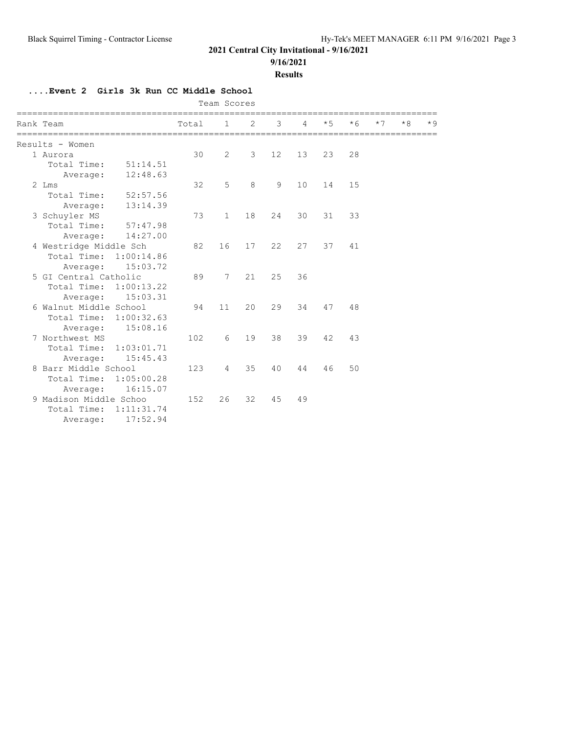## **9/16/2021**

#### **Results**

## **....Event 2 Girls 3k Run CC Middle School**

|                        |                        |       | Team Scores    |    |                   |    |      |      |      |      |      |
|------------------------|------------------------|-------|----------------|----|-------------------|----|------|------|------|------|------|
| Rank Team              |                        | Total | 1              | 2  | 3                 | 4  | $*5$ | $*6$ | $*7$ | $*8$ | $*9$ |
| Results - Women        |                        |       |                |    |                   |    |      |      |      |      |      |
| 1 Aurora               |                        | 30    | $\overline{2}$ | 3  | $12 \overline{ }$ | 13 | 23   | 28   |      |      |      |
| Total Time:            | 51:14.51               |       |                |    |                   |    |      |      |      |      |      |
| Average:               | 12:48.63               |       |                |    |                   |    |      |      |      |      |      |
| $2$ Lms                |                        | 32    | 5              | 8  | 9                 | 10 | 14   | 15   |      |      |      |
| Total Time:            | 52:57.56               |       |                |    |                   |    |      |      |      |      |      |
| Average:               | 13:14.39               |       |                |    |                   |    |      |      |      |      |      |
| 3 Schuyler MS          |                        | 73    | $\mathbf{1}$   | 18 | 24                | 30 | 31   | 33   |      |      |      |
| Total Time:            | 57:47.98               |       |                |    |                   |    |      |      |      |      |      |
| Average:               | 14:27.00               |       |                |    |                   |    |      |      |      |      |      |
| 4 Westridge Middle Sch |                        | 82    | 16             | 17 | 22                | 27 | 37   | 41   |      |      |      |
|                        | Total Time: 1:00:14.86 |       |                |    |                   |    |      |      |      |      |      |
| Average:               | 15:03.72               |       |                |    |                   |    |      |      |      |      |      |
| 5 GI Central Catholic  |                        | 89    | 7              | 21 | 25                | 36 |      |      |      |      |      |
| Total Time:            | 1:00:13.22             |       |                |    |                   |    |      |      |      |      |      |
|                        | 15:03.31<br>Average:   |       |                |    |                   |    |      |      |      |      |      |
| 6 Walnut Middle School |                        | 94    | 11             | 20 | 29                | 34 | 47   | 48   |      |      |      |
| Total Time:            | 1:00:32.63             |       |                |    |                   |    |      |      |      |      |      |
|                        | 15:08.16<br>Average:   |       |                |    |                   |    |      |      |      |      |      |
| 7 Northwest MS         |                        | 102   | 6              | 19 | 38                | 39 | 42   | 43   |      |      |      |
| Total Time:            | 1:03:01.71             |       |                |    |                   |    |      |      |      |      |      |
|                        | 15:45.43<br>Average:   |       |                |    |                   |    |      |      |      |      |      |
| 8 Barr Middle School   |                        | 123   | $\overline{4}$ | 35 | 40                | 44 | 46   | 50   |      |      |      |
| Total Time:            | 1:05:00.28             |       |                |    |                   |    |      |      |      |      |      |
| Average:               | 16:15.07               |       |                |    |                   |    |      |      |      |      |      |
| 9 Madison Middle Schoo |                        | 152   | 26             | 32 | 45                | 49 |      |      |      |      |      |
| Total Time:            | 1:11:31.74             |       |                |    |                   |    |      |      |      |      |      |
| Average:               | 17:52.94               |       |                |    |                   |    |      |      |      |      |      |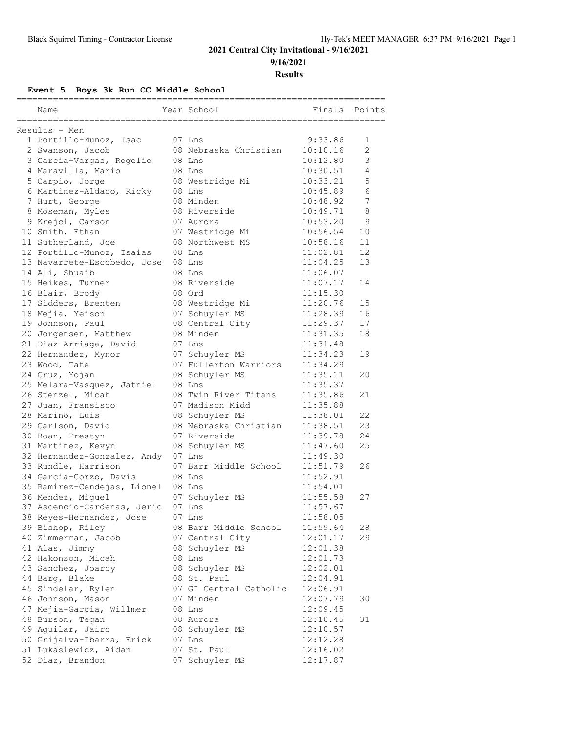**9/16/2021**

**Results**

**Event 5 Boys 3k Run CC Middle School**

| Name                                            | Year School                             | Finals   | Points         |
|-------------------------------------------------|-----------------------------------------|----------|----------------|
| Results - Men                                   |                                         |          |                |
| 1 Portillo-Munoz, Isac                          | 07 Lms                                  | 9:33.86  | 1              |
| 2 Swanson, Jacob                                | 08 Nebraska Christian                   | 10:10.16 | $\overline{2}$ |
| 3 Garcia-Vargas, Rogelio                        | $08$ Lms                                | 10:12.80 | 3              |
| 4 Maravilla, Mario                              | 08 Lms                                  | 10:30.51 | 4              |
| 5 Carpio, Jorge                                 | 08 Westridge Mi                         | 10:33.21 | 5              |
| 6 Martinez-Aldaco, Ricky                        | 08 Lms                                  | 10:45.89 | 6              |
| 7 Hurt, George                                  | 08 Minden                               | 10:48.92 | 7              |
| 8 Moseman, Myles                                | 08 Riverside                            | 10:49.71 | 8              |
| 9 Krejci, Carson                                | 07 Aurora                               | 10:53.20 | 9              |
| 10 Smith, Ethan                                 | 07 Westridge Mi                         | 10:56.54 | 10             |
| 11 Sutherland, Joe                              | 08 Northwest MS                         | 10:58.16 | 11             |
| 12 Portillo-Munoz, Isaias                       | 08 Lms                                  | 11:02.81 | 12             |
| 13 Navarrete-Escobedo, Jose                     | 08 Lms                                  | 11:04.25 | 13             |
| 14 Ali, Shuaib                                  | 08 Lms                                  | 11:06.07 |                |
| 15 Heikes, Turner                               | 08 Riverside                            | 11:07.17 | 14             |
| 16 Blair, Brody                                 | 08 Ord                                  | 11:15.30 |                |
| 17 Sidders, Brenten                             | 08 Westridge Mi                         | 11:20.76 | 15             |
| 18 Mejia, Yeison                                | 07 Schuyler MS                          | 11:28.39 | 16             |
| 19 Johnson, Paul                                | 08 Central City                         | 11:29.37 | 17             |
| 20 Jorgensen, Matthew                           | 08 Minden                               | 11:31.35 | 18             |
| 21 Diaz-Arriaga, David                          | 07 Lms                                  | 11:31.48 |                |
| 22 Hernandez, Mynor                             | 07 Schuyler MS                          | 11:34.23 | 19             |
| 23 Wood, Tate                                   | 07 Fullerton Warriors                   | 11:34.29 |                |
|                                                 |                                         | 11:35.11 | 20             |
| 24 Cruz, Yojan                                  | 08 Schuyler MS<br>08 Lms                | 11:35.37 |                |
| 25 Melara-Vasquez, Jatniel<br>26 Stenzel, Micah | 08 Twin River Titans                    | 11:35.86 | 21             |
|                                                 |                                         |          |                |
| 27 Juan, Fransisco                              | 07 Madison Midd                         | 11:35.88 | 22             |
| 28 Marino, Luis                                 | 08 Schuyler MS<br>08 Nebraska Christian | 11:38.01 |                |
| 29 Carlson, David                               |                                         | 11:38.51 | 23             |
| 30 Roan, Prestyn                                | 07 Riverside                            | 11:39.78 | 24             |
| 31 Martinez, Kevyn                              | 08 Schuyler MS                          | 11:47.60 | 25             |
| 32 Hernandez-Gonzalez, Andy                     | 07 Lms                                  | 11:49.30 |                |
| 33 Rundle, Harrison                             | 07 Barr Middle School                   | 11:51.79 | 26             |
| 34 Garcia-Corzo, Davis                          | 08 Lms                                  | 11:52.91 |                |
| 35 Ramirez-Cendejas, Lionel                     | 08 Lms                                  | 11:54.01 |                |
| 36 Mendez, Miguel                               | 07 Schuyler MS                          | 11:55.58 | 27             |
| 37 Ascencio-Cardenas, Jeric                     | 07 Lms                                  | 11:57.67 |                |
| 38 Reyes-Hernandez, Jose                        | 07 Lms                                  | 11:58.05 |                |
| 39 Bishop, Riley                                | 08 Barr Middle School                   | 11:59.64 | 28             |
| 40 Zimmerman, Jacob                             | 07 Central City                         | 12:01.17 | 29             |
| 41 Alas, Jimmy                                  | 08 Schuyler MS                          | 12:01.38 |                |
| 42 Hakonson, Micah                              | 08 Lms                                  | 12:01.73 |                |
| 43 Sanchez, Joarcy                              | 08 Schuyler MS                          | 12:02.01 |                |
| 44 Barg, Blake                                  | 08 St. Paul                             | 12:04.91 |                |
| 45 Sindelar, Rylen                              | 07 GI Central Catholic                  | 12:06.91 |                |
| 46 Johnson, Mason                               | 07 Minden                               | 12:07.79 | 30             |
| 47 Mejia-Garcia, Willmer                        | 08 Lms                                  | 12:09.45 |                |
| 48 Burson, Tegan                                | 08 Aurora                               | 12:10.45 | 31             |
| 49 Aguilar, Jairo                               | 08 Schuyler MS                          | 12:10.57 |                |
| 50 Grijalva-Ibarra, Erick                       | 07 Lms                                  | 12:12.28 |                |
| 51 Lukasiewicz, Aidan                           | 07 St. Paul                             | 12:16.02 |                |
| 52 Diaz, Brandon                                | 07 Schuyler MS                          | 12:17.87 |                |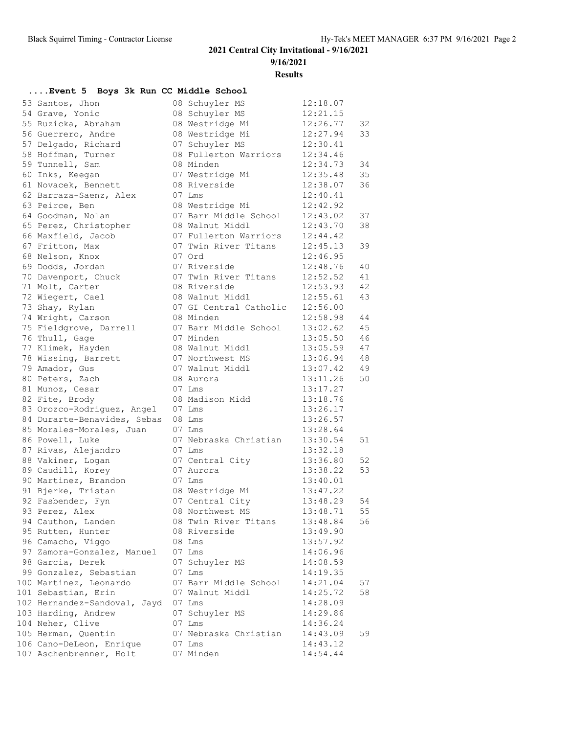**9/16/2021**

**Results**

### **....Event 5 Boys 3k Run CC Middle School**

| 53 Santos, Jhon              | 08 Schuyler MS         | 12:18.07 |    |
|------------------------------|------------------------|----------|----|
| 54 Grave, Yonic              | 08 Schuyler MS         | 12:21.15 |    |
| 55 Ruzicka, Abraham          | 08 Westridge Mi        | 12:26.77 | 32 |
| 56 Guerrero, Andre           | 08 Westridge Mi        | 12:27.94 | 33 |
| 57 Delgado, Richard          | 07 Schuyler MS         | 12:30.41 |    |
| 58 Hoffman, Turner           | 08 Fullerton Warriors  | 12:34.46 |    |
| 59 Tunnell, Sam              | 08 Minden              | 12:34.73 | 34 |
| 60 Inks, Keegan              | 07 Westridge Mi        | 12:35.48 | 35 |
| 61 Novacek, Bennett          | 08 Riverside           | 12:38.07 | 36 |
| 62 Barraza-Saenz, Alex       | 07 Lms                 | 12:40.41 |    |
| 63 Peirce, Ben               | 08 Westridge Mi        | 12:42.92 |    |
| 64 Goodman, Nolan            | 07 Barr Middle School  | 12:43.02 | 37 |
| 65 Perez, Christopher        | 08 Walnut Middl        | 12:43.70 | 38 |
| 66 Maxfield, Jacob           | 07 Fullerton Warriors  | 12:44.42 |    |
| 67 Fritton, Max              | 07 Twin River Titans   | 12:45.13 | 39 |
| 68 Nelson, Knox              | 07 Ord                 | 12:46.95 |    |
| 69 Dodds, Jordan             | 07 Riverside           | 12:48.76 | 40 |
| 70 Davenport, Chuck          | 07 Twin River Titans   | 12:52.52 | 41 |
| 71 Molt, Carter              | 08 Riverside           | 12:53.93 | 42 |
| 72 Wiegert, Cael             | 08 Walnut Middl        | 12:55.61 | 43 |
| 73 Shay, Rylan               | 07 GI Central Catholic | 12:56.00 |    |
| 74 Wright, Carson            | 08 Minden              | 12:58.98 | 44 |
| 75 Fieldgrove, Darrell       | 07 Barr Middle School  | 13:02.62 | 45 |
| 76 Thull, Gage               | 07 Minden              | 13:05.50 | 46 |
| 77 Klimek, Hayden            | 08 Walnut Middl        | 13:05.59 | 47 |
| 78 Wissing, Barrett          | 07 Northwest MS        | 13:06.94 | 48 |
| 79 Amador, Gus               | 07 Walnut Middl        | 13:07.42 | 49 |
| 80 Peters, Zach              | 08 Aurora              | 13:11.26 | 50 |
| 81 Munoz, Cesar              | 07 Lms                 | 13:17.27 |    |
| 82 Fite, Brody               | 08 Madison Midd        | 13:18.76 |    |
| 83 Orozco-Rodriguez, Angel   | 07 Lms                 | 13:26.17 |    |
| 84 Durarte-Benavides, Sebas  | 08 Lms                 | 13:26.57 |    |
| 85 Morales-Morales, Juan     | 07 Lms                 | 13:28.64 |    |
| 86 Powell, Luke              | 07 Nebraska Christian  | 13:30.54 | 51 |
| 87 Rivas, Alejandro          | 07 Lms                 | 13:32.18 |    |
| 88 Vakiner, Logan            | 07 Central City        | 13:36.80 | 52 |
| 89 Caudill, Korey            | 07 Aurora              | 13:38.22 | 53 |
| 90 Martinez, Brandon         | 07 Lms                 | 13:40.01 |    |
| 91 Bjerke, Tristan           | 08 Westridge Mi        | 13:47.22 |    |
| 92 Fasbender, Fyn            | 07 Central City        | 13:48.29 | 54 |
| 93 Perez, Alex               | 08 Northwest MS        | 13:48.71 | 55 |
| 94 Cauthon, Landen           | 08 Twin River Titans   | 13:48.84 | 56 |
| 95 Rutten, Hunter            | 08 Riverside           | 13:49.90 |    |
| 96 Camacho, Viggo            | 08 Lms                 | 13:57.92 |    |
| 97 Zamora-Gonzalez, Manuel   | 07 Lms                 | 14:06.96 |    |
| 98 Garcia, Derek             | 07 Schuyler MS         | 14:08.59 |    |
| 99 Gonzalez, Sebastian       | 07 Lms                 | 14:19.35 |    |
| 100 Martinez, Leonardo       | 07 Barr Middle School  | 14:21.04 | 57 |
| 101 Sebastian, Erin          | 07 Walnut Middl        | 14:25.72 | 58 |
| 102 Hernandez-Sandoval, Jayd | 07 Lms                 | 14:28.09 |    |
| 103 Harding, Andrew          | 07 Schuyler MS         | 14:29.86 |    |
| 104 Neher, Clive             | 07 Lms                 | 14:36.24 |    |
| 105 Herman, Quentin          | 07 Nebraska Christian  | 14:43.09 | 59 |
| 106 Cano-DeLeon, Enrique     | 07 Lms                 | 14:43.12 |    |
| 107 Aschenbrenner, Holt      | 07 Minden              | 14:54.44 |    |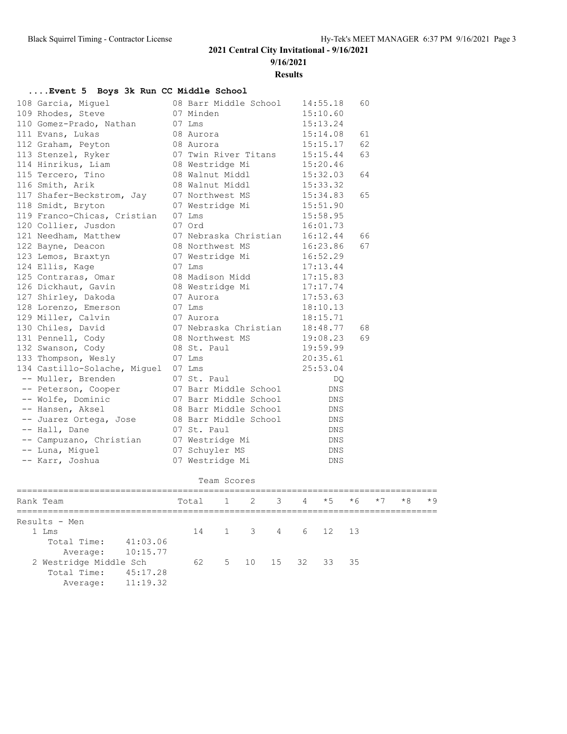**9/16/2021**

**Results**

| Event 5 Boys 3k Run CC Middle School |                              |  |                       |            |    |  |  |  |
|--------------------------------------|------------------------------|--|-----------------------|------------|----|--|--|--|
|                                      | 108 Garcia, Miquel           |  | 08 Barr Middle School | 14:55.18   | 60 |  |  |  |
|                                      | 109 Rhodes, Steve            |  | 07 Minden             | 15:10.60   |    |  |  |  |
|                                      | 110 Gomez-Prado, Nathan      |  | $07$ Lms              | 15:13.24   |    |  |  |  |
|                                      | 111 Evans, Lukas             |  | 08 Aurora             | 15:14.08   | 61 |  |  |  |
|                                      | 112 Graham, Peyton           |  | 08 Aurora             | 15:15.17   | 62 |  |  |  |
|                                      | 113 Stenzel, Ryker           |  | 07 Twin River Titans  | 15:15.44   | 63 |  |  |  |
|                                      | 114 Hinrikus, Liam           |  | 08 Westridge Mi       | 15:20.46   |    |  |  |  |
|                                      | 115 Tercero, Tino            |  | 08 Walnut Middl       | 15:32.03   | 64 |  |  |  |
|                                      | 116 Smith, Arik              |  | 08 Walnut Middl       | 15:33.32   |    |  |  |  |
|                                      | 117 Shafer-Beckstrom, Jay    |  | 07 Northwest MS       | 15:34.83   | 65 |  |  |  |
|                                      | 118 Smidt, Bryton            |  | 07 Westridge Mi       | 15:51.90   |    |  |  |  |
|                                      | 119 Franco-Chicas, Cristian  |  | 07 Lms                | 15:58.95   |    |  |  |  |
|                                      | 120 Collier, Jusdon          |  | 07 Ord                | 16:01.73   |    |  |  |  |
|                                      | 121 Needham, Matthew         |  | 07 Nebraska Christian | 16:12.44   | 66 |  |  |  |
|                                      | 122 Bayne, Deacon            |  | 08 Northwest MS       | 16:23.86   | 67 |  |  |  |
|                                      | 123 Lemos, Braxtyn           |  | 07 Westridge Mi       | 16:52.29   |    |  |  |  |
|                                      | 124 Ellis, Kage              |  | 07 Lms                | 17:13.44   |    |  |  |  |
|                                      | 125 Contraras, Omar          |  | 08 Madison Midd       | 17:15.83   |    |  |  |  |
|                                      | 126 Dickhaut, Gavin          |  | 08 Westridge Mi       | 17:17.74   |    |  |  |  |
|                                      | 127 Shirley, Dakoda          |  | 07 Aurora             | 17:53.63   |    |  |  |  |
|                                      | 128 Lorenzo, Emerson         |  | 07 Lms                | 18:10.13   |    |  |  |  |
|                                      | 129 Miller, Calvin           |  | 07 Aurora             | 18:15.71   |    |  |  |  |
|                                      | 130 Chiles, David            |  | 07 Nebraska Christian | 18:48.77   | 68 |  |  |  |
|                                      | 131 Pennell, Cody            |  | 08 Northwest MS       | 19:08.23   | 69 |  |  |  |
|                                      | 132 Swanson, Cody            |  | 08 St. Paul           | 19:59.99   |    |  |  |  |
|                                      | 133 Thompson, Wesly          |  | 07 Lms                | 20:35.61   |    |  |  |  |
|                                      | 134 Castillo-Solache, Miguel |  | 07 Lms                | 25:53.04   |    |  |  |  |
|                                      | -- Muller, Brenden           |  | 07 St. Paul           | DQ         |    |  |  |  |
|                                      | -- Peterson, Cooper          |  | 07 Barr Middle School | DNS        |    |  |  |  |
|                                      | -- Wolfe, Dominic            |  | 07 Barr Middle School | <b>DNS</b> |    |  |  |  |
|                                      | -- Hansen, Aksel             |  | 08 Barr Middle School | <b>DNS</b> |    |  |  |  |
|                                      | -- Juarez Ortega, Jose       |  | 08 Barr Middle School | <b>DNS</b> |    |  |  |  |
|                                      | -- Hall, Dane                |  | 07 St. Paul           | <b>DNS</b> |    |  |  |  |
|                                      | -- Campuzano, Christian      |  | 07 Westridge Mi       | <b>DNS</b> |    |  |  |  |
|                                      | -- Luna, Miguel              |  | 07 Schuyler MS        | <b>DNS</b> |    |  |  |  |
|                                      | -- Karr, Joshua              |  | 07 Westridge Mi       | <b>DNS</b> |    |  |  |  |
|                                      |                              |  |                       |            |    |  |  |  |

|  | Team Scores |
|--|-------------|
|  |             |

|                        | Rank Team            |                     | Total 1 2 3 4 $*5$ $*6$ $*7$ |  |                  |  |  | $*8$ | $*9$ |
|------------------------|----------------------|---------------------|------------------------------|--|------------------|--|--|------|------|
|                        | Results - Men        |                     |                              |  |                  |  |  |      |      |
|                        | 1 Lms                |                     |                              |  | 14 1 3 4 6 12 13 |  |  |      |      |
|                        | Total Time: 41:03.06 |                     |                              |  |                  |  |  |      |      |
|                        |                      | Average: 10:15.77   |                              |  |                  |  |  |      |      |
| 2 Westridge Middle Sch |                      | 62 5 10 15 32 33 35 |                              |  |                  |  |  |      |      |
|                        | Total Time:          | 45:17.28            |                              |  |                  |  |  |      |      |
|                        |                      | Average: 11:19.32   |                              |  |                  |  |  |      |      |